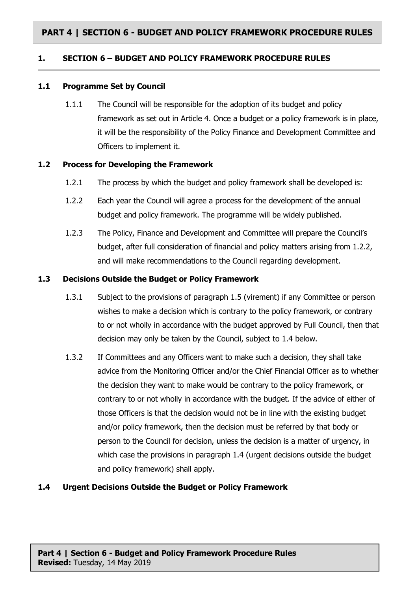# **PART 4 | SECTION 6 - BUDGET AND POLICY FRAMEWORK PROCEDURE RULES**

## **1. SECTION 6 – BUDGET AND POLICY FRAMEWORK PROCEDURE RULES**

## **1.1 Programme Set by Council**

1.1.1 The Council will be responsible for the adoption of its budget and policy framework as set out in Article 4. Once a budget or a policy framework is in place, it will be the responsibility of the Policy Finance and Development Committee and Officers to implement it.

## **1.2 Process for Developing the Framework**

- 1.2.1 The process by which the budget and policy framework shall be developed is:
- 1.2.2 Each year the Council will agree a process for the development of the annual budget and policy framework. The programme will be widely published.
- 1.2.3 The Policy, Finance and Development and Committee will prepare the Council's budget, after full consideration of financial and policy matters arising from 1.2.2, and will make recommendations to the Council regarding development.

## **1.3 Decisions Outside the Budget or Policy Framework**

- 1.3.1 Subject to the provisions of paragraph 1.5 (virement) if any Committee or person wishes to make a decision which is contrary to the policy framework, or contrary to or not wholly in accordance with the budget approved by Full Council, then that decision may only be taken by the Council, subject to 1.4 below.
- 1.3.2 If Committees and any Officers want to make such a decision, they shall take advice from the Monitoring Officer and/or the Chief Financial Officer as to whether the decision they want to make would be contrary to the policy framework, or contrary to or not wholly in accordance with the budget. If the advice of either of those Officers is that the decision would not be in line with the existing budget and/or policy framework, then the decision must be referred by that body or person to the Council for decision, unless the decision is a matter of urgency, in which case the provisions in paragraph 1.4 (urgent decisions outside the budget and policy framework) shall apply.

## **1.4 Urgent Decisions Outside the Budget or Policy Framework**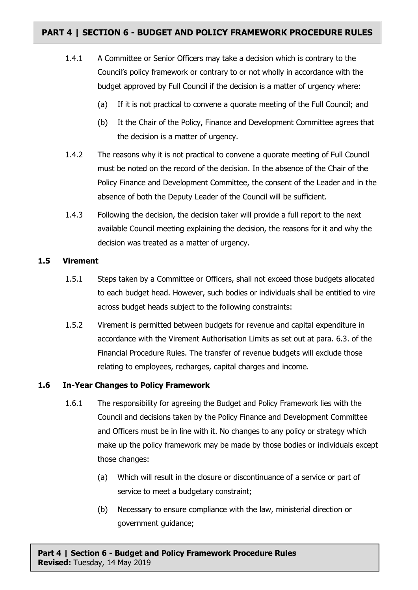# **PART 4 | SECTION 6 - BUDGET AND POLICY FRAMEWORK PROCEDURE RULES**

- 1.4.1 A Committee or Senior Officers may take a decision which is contrary to the Council's policy framework or contrary to or not wholly in accordance with the budget approved by Full Council if the decision is a matter of urgency where:
	- (a) If it is not practical to convene a quorate meeting of the Full Council; and
	- (b) It the Chair of the Policy, Finance and Development Committee agrees that the decision is a matter of urgency.
- 1.4.2 The reasons why it is not practical to convene a quorate meeting of Full Council must be noted on the record of the decision. In the absence of the Chair of the Policy Finance and Development Committee, the consent of the Leader and in the absence of both the Deputy Leader of the Council will be sufficient.
- 1.4.3 Following the decision, the decision taker will provide a full report to the next available Council meeting explaining the decision, the reasons for it and why the decision was treated as a matter of urgency.

## **1.5 Virement**

- 1.5.1 Steps taken by a Committee or Officers, shall not exceed those budgets allocated to each budget head. However, such bodies or individuals shall be entitled to vire across budget heads subject to the following constraints:
- 1.5.2 Virement is permitted between budgets for revenue and capital expenditure in accordance with the Virement Authorisation Limits as set out at para. 6.3. of the Financial Procedure Rules. The transfer of revenue budgets will exclude those relating to employees, recharges, capital charges and income.

## **1.6 In-Year Changes to Policy Framework**

- 1.6.1 The responsibility for agreeing the Budget and Policy Framework lies with the Council and decisions taken by the Policy Finance and Development Committee and Officers must be in line with it. No changes to any policy or strategy which make up the policy framework may be made by those bodies or individuals except those changes:
	- (a) Which will result in the closure or discontinuance of a service or part of service to meet a budgetary constraint;
	- (b) Necessary to ensure compliance with the law, ministerial direction or government guidance;